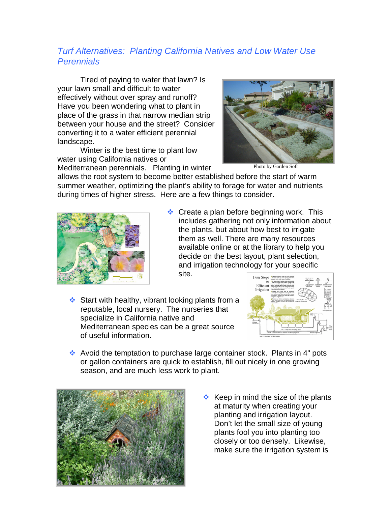## *Turf Alternatives: Planting California Natives and Low Water Use Perennials*

Tired of paying to water that lawn? Is your lawn small and difficult to water effectively without over spray and runoff? Have you been wondering what to plant in place of the grass in that narrow median strip between your house and the street? Consider converting it to a water efficient perennial landscape.

Winter is the best time to plant low water using California natives or

Mediterranean perennials. Planting in winter

allows the root system to become better established before the start of warm summer weather, optimizing the plant's ability to forage for water and nutrients during times of higher stress. Here are a few things to consider.



 $\cdot$  Create a plan before beginning work. This includes gathering not only information about the plants, but about how best to irrigate them as well. There are many resources available online or at the library to help you decide on the best layout, plant selection, and irrigation technology for your specific

site.

 $\cdot$  Start with healthy, vibrant looking plants from a reputable, local nursery. The nurseries that specialize in California native and Mediterranean species can be a great source of useful information.



 $\cdot$  Avoid the temptation to purchase large container stock. Plants in 4" pots or gallon containers are quick to establish, fill out nicely in one growing season, and are much less work to plant.



 $\triangle$  Keep in mind the size of the plants at maturity when creating your planting and irrigation layout. Don't let the small size of young plants fool you into planting too closely or too densely. Likewise, make sure the irrigation system is



Photo by Garden Soft